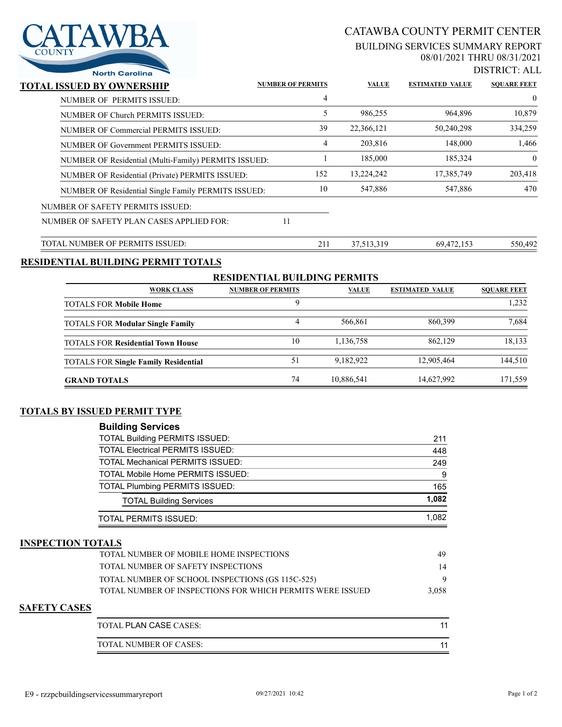

# CATAWBA COUNTY PERMIT CENTER

#### BUILDING SERVICES SUMMARY REPORT 08/01/2021 THRU 08/31/2021

DISTRICT: ALL

| <b>North Carolina</b>                                |                          |     |              |                        | LID ENUT : ALI     |
|------------------------------------------------------|--------------------------|-----|--------------|------------------------|--------------------|
| TOTAL ISSUED BY OWNERSHIP                            | <b>NUMBER OF PERMITS</b> |     | <b>VALUE</b> | <b>ESTIMATED VALUE</b> | <b>SOUARE FEET</b> |
| NUMBER OF PERMITS ISSUED:                            |                          | 4   |              |                        | $\overline{0}$     |
| NUMBER OF Church PERMITS ISSUED:                     |                          |     | 986,255      | 964,896                | 10,879             |
| NUMBER OF Commercial PERMITS ISSUED:                 |                          | 39  | 22,366,121   | 50,240,298             | 334,259            |
| NUMBER OF Government PERMITS ISSUED:                 |                          | 4   | 203,816      | 148,000                | 1,466              |
| NUMBER OF Residential (Multi-Family) PERMITS ISSUED: |                          |     | 185,000      | 185,324                | $\theta$           |
| NUMBER OF Residential (Private) PERMITS ISSUED:      |                          | 152 | 13,224,242   | 17,385,749             | 203,418            |
| NUMBER OF Residential Single Family PERMITS ISSUED:  |                          | 10  | 547,886      | 547,886                | 470                |
| NUMBER OF SAFETY PERMITS ISSUED:                     |                          |     |              |                        |                    |
| NUMBER OF SAFETY PLAN CASES APPLIED FOR:             | 11                       |     |              |                        |                    |
|                                                      |                          |     |              |                        |                    |

# TOTAL NUMBER OF PERMITS ISSUED: 211 37,513,319 69,472,153 550,492

### **RESIDENTIAL BUILDING PERMIT TOTALS**

| <b>RESIDENTIAL BUILDING PERMITS</b>         |                          |              |                        |                    |  |  |
|---------------------------------------------|--------------------------|--------------|------------------------|--------------------|--|--|
| <b>WORK CLASS</b>                           | <b>NUMBER OF PERMITS</b> | <b>VALUE</b> | <b>ESTIMATED VALUE</b> | <b>SOUARE FEET</b> |  |  |
| <b>TOTALS FOR Mobile Home</b>               |                          |              |                        | 1,232              |  |  |
| <b>TOTALS FOR Modular Single Family</b>     | 4                        | 566.861      | 860,399                | 7.684              |  |  |
| <b>TOTALS FOR Residential Town House</b>    | 10                       | 1,136,758    | 862,129                | 18,133             |  |  |
| <b>TOTALS FOR Single Family Residential</b> | 51                       | 9,182,922    | 12,905,464             | 144,510            |  |  |
| <b>GRAND TOTALS</b>                         | 74                       | 10,886,541   | 14,627,992             | 171.559            |  |  |

## **TOTALS BY ISSUED PERMIT TYPE**

| <b>Building Services</b>                |       |
|-----------------------------------------|-------|
| <b>TOTAL Building PERMITS ISSUED:</b>   | 211   |
| <b>TOTAL Electrical PERMITS ISSUED:</b> | 448   |
| <b>TOTAL Mechanical PERMITS ISSUED:</b> | 249   |
| TOTAL Mobile Home PERMITS ISSUED:       | 9     |
| <b>TOTAL Plumbing PERMITS ISSUED:</b>   | 165   |
| <b>TOTAL Building Services</b>          | 1,082 |
| TOTAL PERMITS ISSUED:                   | 1.082 |

#### **INSPECTION TOTALS**

| TOTAL NUMBER OF MOBILE HOME INSPECTIONS                    | 49    |
|------------------------------------------------------------|-------|
| TOTAL NUMBER OF SAFETY INSPECTIONS                         | 14    |
| TOTAL NUMBER OF SCHOOL INSPECTIONS (GS 115C-525)           |       |
| TOTAL NUMBER OF INSPECTIONS FOR WHICH PERMITS WERE ISSUED. | 3,058 |
|                                                            |       |

### **SAFETY CASES**

| TOTAL PLAN CASE CASES: |  |
|------------------------|--|
| TOTAL NUMBER OF CASES: |  |